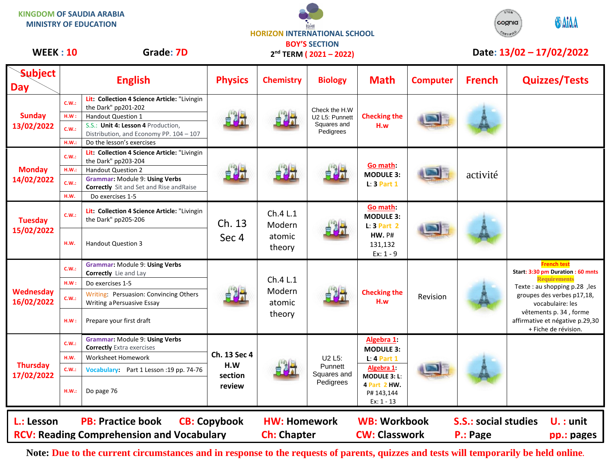**KINGDOM OF SAUDIA ARABIA** STEM **ODAIAA** cognia **MINISTRY OF EDUCATION HORIZON INTERNATIONAL SCHOOL** CERTIFIED **BOY'S SECTION** WEEK : 10 Grade: 7D 2<sup>nd</sup> TERM (2021 - 2022) Date: 13/02 - 17/02/2022 **2 nd TERM ( 2021 – 2022)Subject Day English Physics Chemistry Biology Math Computer French Quizzes/Tests Lit: Collection 4 Science Article:** "Livingin **C.W.:** the Dark" pp201-202 Check the H.W **Sunday H.W :** Handout Question 1 **Checking the**  U2 L5: Punnett 自测 **13/02/2022** Squares and S.S.: **Unit 4: Lesson 4** Production, **H.w C.W.:** Pedigrees Distribution, and Economy PP. 104 – 107 **H.W.:** Do the lesson's exercises **Lit: Collection 4 Science Article:** "Livingin **C.W.:** the Dark" pp203-204 **Go math: Monday** H.W.: Handout Question 2<br>Grammar: Module 9: Using Verbs<br> **Grammar: Module 9: Using Verbs MODULE 3: 14/02/2022 Grammar:** Module 9: **Using Verbs C.W.: L**: **3 Part 1 Correctly** Sit and Set and Rise andRaise **H.W.** Do exercises 1-5 **Go math: Lit: Collection 4 Science Article:** "Livingin Ch.4 L.1 **C.W.: MODULE 3:** 

| L.: Lesson                    |       | <b>PB: Practice book</b><br><b>RCV: Reading Comprehension and Vocabulary</b>      | <b>CB: Copybook</b>            | <b>HW: Homework</b><br><b>Ch: Chapter</b> |                                                                        | <b>WB: Workbook</b><br><b>CW: Classwork</b>                                                                                        |          | <b>S.S.: social studies</b><br>P.: Page | $U.$ : unit<br>pp.: pages                                                         |
|-------------------------------|-------|-----------------------------------------------------------------------------------|--------------------------------|-------------------------------------------|------------------------------------------------------------------------|------------------------------------------------------------------------------------------------------------------------------------|----------|-----------------------------------------|-----------------------------------------------------------------------------------|
| <b>Thursday</b><br>17/02/2022 | HM.:  | Do page 76                                                                        | review                         |                                           | U <sub>2</sub> L <sub>5</sub> :<br>Punnett<br>Squares and<br>Pedigrees | Algebra 1:<br><b>MODULE 3:</b><br>$L: 4$ Part 1<br>Algebra 1:<br><b>MODULE 3: L:</b><br>4 Part 2 HW.<br>P# 143,144<br>$Ex: 1 - 13$ |          |                                         |                                                                                   |
|                               | C.W.: | Vocabulary: Part 1 Lesson : 19 pp. 74-76                                          | Ch. 13 Sec 4<br>H.W<br>section |                                           |                                                                        |                                                                                                                                    |          |                                         |                                                                                   |
|                               | H.W.  | Worksheet Homework                                                                |                                |                                           |                                                                        |                                                                                                                                    |          |                                         |                                                                                   |
|                               | C.W.: | <b>Grammar: Module 9: Using Verbs</b><br><b>Correctly</b> Extra exercises         |                                |                                           |                                                                        |                                                                                                                                    |          |                                         |                                                                                   |
| Wednesday<br>16/02/2022       | HM:   | Prepare your first draft                                                          |                                | Ch.4 L.1<br>Modern<br>atomic<br>theory    |                                                                        | <b>Checking the</b><br>H.w                                                                                                         | Revision |                                         | vêtements p. 34, forme<br>affirmative et négative p.29,30<br>+ Fiche de révision. |
|                               | C.W.: | Writing: Persuasion: Convincing Others<br>Writing a Persuasive Essay              |                                |                                           |                                                                        |                                                                                                                                    |          |                                         | groupes des verbes p17,18,<br>vocabulaire: les                                    |
|                               | HM:   | Do exercises 1-5                                                                  |                                |                                           |                                                                        |                                                                                                                                    |          |                                         | <b>Requirements</b><br>Texte : au shopping p.28, les                              |
|                               | C.W.: | Grammar: Module 9: Using Verbs<br><b>Correctly</b> Lie and Lay                    |                                |                                           |                                                                        |                                                                                                                                    |          |                                         | <b>French test</b><br>Start: 3:30 pm Duration : 60 mnts                           |
| <b>Tuesday</b><br>15/02/2022  | H.W.  | <b>Handout Question 3</b>                                                         | Ch. 13<br>Sec 4                | Ch.4 L.1<br>Modern<br>atomic<br>theory    |                                                                        | Go math:<br><b>MODULE 3:</b><br>$L: 3$ Part 2<br><b>HW. P#</b><br>131,132<br>$Ex: 1 - 9$                                           |          |                                         |                                                                                   |
|                               | C.W.: | Lit: Collection 4 Science Article: "Livingin<br>the Dark" pp205-206               |                                |                                           |                                                                        |                                                                                                                                    |          |                                         |                                                                                   |
| <b>Monday</b><br>14/02/2022   | H.W.  | Do exercises 1-5                                                                  |                                | 中科                                        |                                                                        | Go math:<br><b>MODULE 3:</b><br>$L: 3$ Part 1                                                                                      |          | activité                                |                                                                                   |
|                               | C.W.: | Grammar: Module 9: Using Verbs<br><b>Correctly</b> Sit and Set and Rise and Raise |                                |                                           |                                                                        |                                                                                                                                    |          |                                         |                                                                                   |
|                               | H.W.: | the Dark" pp203-204<br><b>Handout Question 2</b>                                  |                                |                                           |                                                                        |                                                                                                                                    |          |                                         |                                                                                   |
|                               | C.W.: | Lit: Collection 4 Science Article: "Livingin                                      |                                |                                           |                                                                        |                                                                                                                                    |          |                                         |                                                                                   |

**Note: Due to the current circumstances and in response to the requests of parents, quizzes and tests will temporarily be held online.**